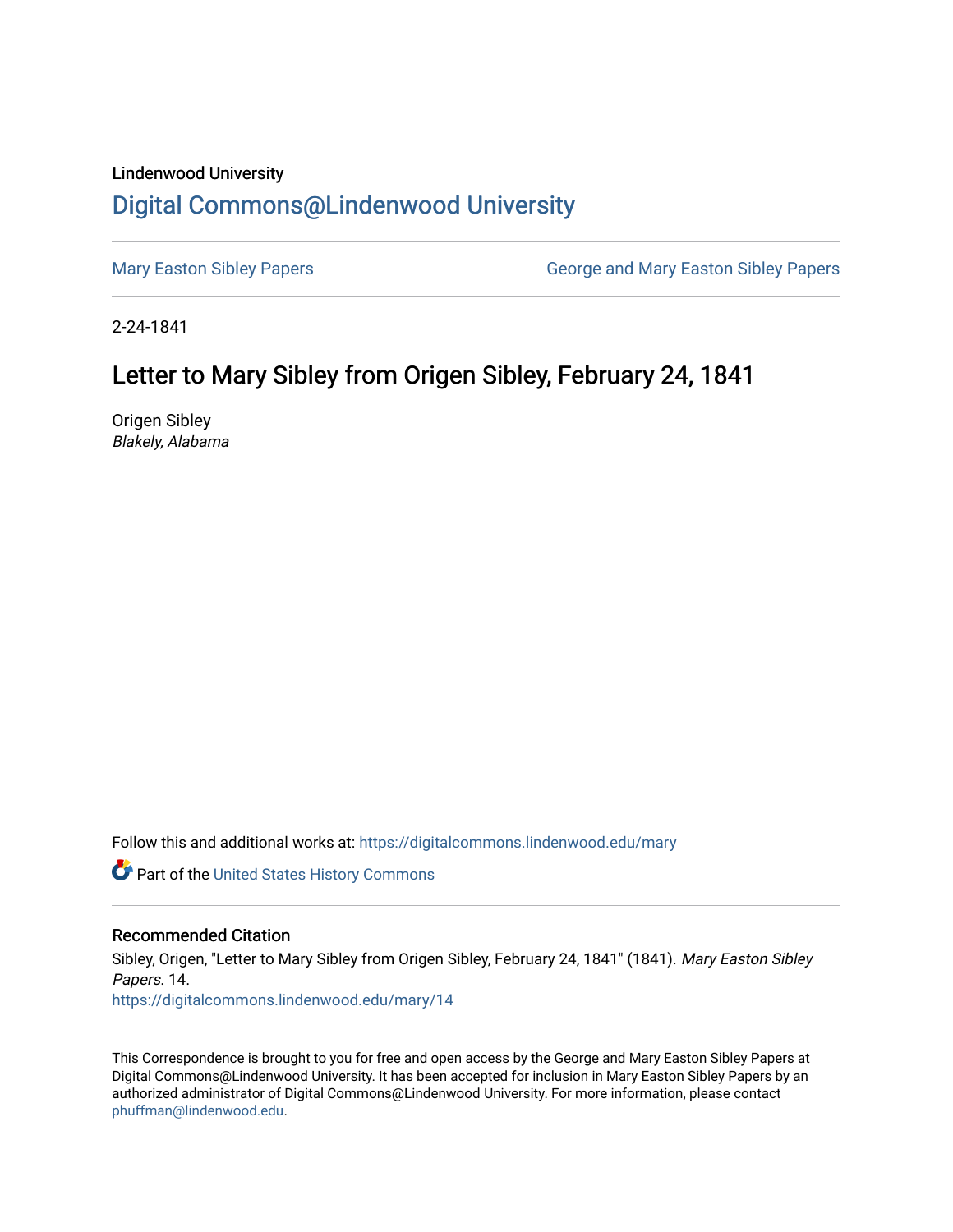## Lindenwood University [Digital Commons@Lindenwood University](https://digitalcommons.lindenwood.edu/)

[Mary Easton Sibley Papers](https://digitalcommons.lindenwood.edu/mary) **George and Mary Easton Sibley Papers** George and Mary Easton Sibley Papers

2-24-1841

## Letter to Mary Sibley from Origen Sibley, February 24, 1841

Origen Sibley Blakely, Alabama

Follow this and additional works at: [https://digitalcommons.lindenwood.edu/mary](https://digitalcommons.lindenwood.edu/mary?utm_source=digitalcommons.lindenwood.edu%2Fmary%2F14&utm_medium=PDF&utm_campaign=PDFCoverPages) 

Part of the [United States History Commons](http://network.bepress.com/hgg/discipline/495?utm_source=digitalcommons.lindenwood.edu%2Fmary%2F14&utm_medium=PDF&utm_campaign=PDFCoverPages) 

## Recommended Citation

Sibley, Origen, "Letter to Mary Sibley from Origen Sibley, February 24, 1841" (1841). Mary Easton Sibley Papers. 14. [https://digitalcommons.lindenwood.edu/mary/14](https://digitalcommons.lindenwood.edu/mary/14?utm_source=digitalcommons.lindenwood.edu%2Fmary%2F14&utm_medium=PDF&utm_campaign=PDFCoverPages)

This Correspondence is brought to you for free and open access by the George and Mary Easton Sibley Papers at Digital Commons@Lindenwood University. It has been accepted for inclusion in Mary Easton Sibley Papers by an authorized administrator of Digital Commons@Lindenwood University. For more information, please contact [phuffman@lindenwood.edu](mailto:phuffman@lindenwood.edu).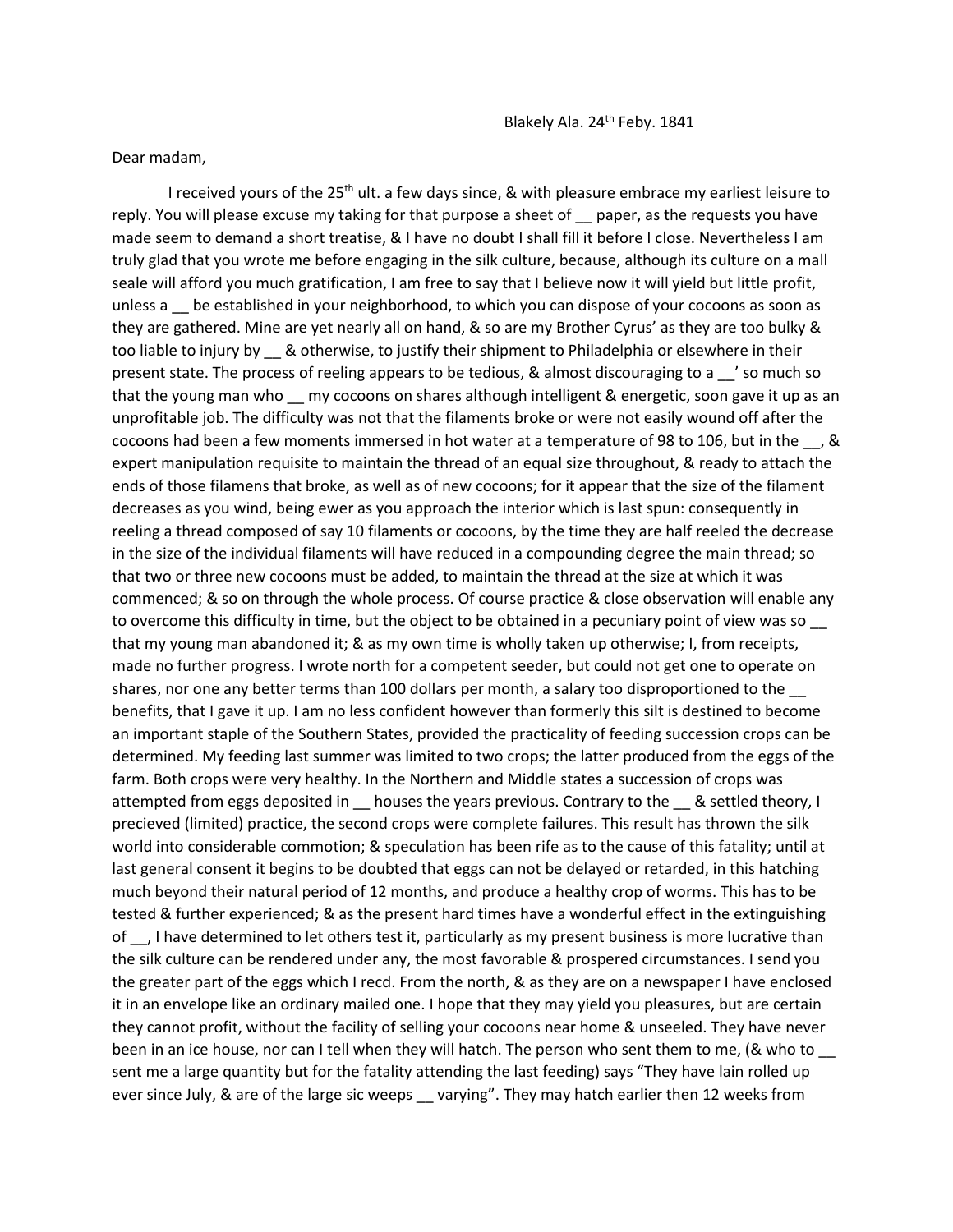Dear madam,

I received yours of the 25<sup>th</sup> ult. a few days since, & with pleasure embrace my earliest leisure to reply. You will please excuse my taking for that purpose a sheet of paper, as the requests you have made seem to demand a short treatise, & I have no doubt I shall fill it before I close. Nevertheless I am truly glad that you wrote me before engaging in the silk culture, because, although its culture on a mall seale will afford you much gratification, I am free to say that I believe now it will yield but little profit, unless a 
setablished in your neighborhood, to which you can dispose of your cocoons as soon as they are gathered. Mine are yet nearly all on hand, & so are my Brother Cyrus' as they are too bulky & too liable to injury by \_\_ & otherwise, to justify their shipment to Philadelphia or elsewhere in their present state. The process of reeling appears to be tedious, & almost discouraging to a \_\_' so much so that the young man who my cocoons on shares although intelligent & energetic, soon gave it up as an unprofitable job. The difficulty was not that the filaments broke or were not easily wound off after the cocoons had been a few moments immersed in hot water at a temperature of 98 to 106, but in the \_\_, & expert manipulation requisite to maintain the thread of an equal size throughout, & ready to attach the ends of those filamens that broke, as well as of new cocoons; for it appear that the size of the filament decreases as you wind, being ewer as you approach the interior which is last spun: consequently in reeling a thread composed of say 10 filaments or cocoons, by the time they are half reeled the decrease in the size of the individual filaments will have reduced in a compounding degree the main thread; so that two or three new cocoons must be added, to maintain the thread at the size at which it was commenced; & so on through the whole process. Of course practice & close observation will enable any to overcome this difficulty in time, but the object to be obtained in a pecuniary point of view was so that my young man abandoned it; & as my own time is wholly taken up otherwise; I, from receipts, made no further progress. I wrote north for a competent seeder, but could not get one to operate on shares, nor one any better terms than 100 dollars per month, a salary too disproportioned to the \_\_ benefits, that I gave it up. I am no less confident however than formerly this silt is destined to become an important staple of the Southern States, provided the practicality of feeding succession crops can be determined. My feeding last summer was limited to two crops; the latter produced from the eggs of the farm. Both crops were very healthy. In the Northern and Middle states a succession of crops was attempted from eggs deposited in \_\_ houses the years previous. Contrary to the \_\_ & settled theory, I precieved (limited) practice, the second crops were complete failures. This result has thrown the silk world into considerable commotion; & speculation has been rife as to the cause of this fatality; until at last general consent it begins to be doubted that eggs can not be delayed or retarded, in this hatching much beyond their natural period of 12 months, and produce a healthy crop of worms. This has to be tested & further experienced; & as the present hard times have a wonderful effect in the extinguishing of \_\_, I have determined to let others test it, particularly as my present business is more lucrative than the silk culture can be rendered under any, the most favorable & prospered circumstances. I send you the greater part of the eggs which I recd. From the north, & as they are on a newspaper I have enclosed it in an envelope like an ordinary mailed one. I hope that they may yield you pleasures, but are certain they cannot profit, without the facility of selling your cocoons near home & unseeled. They have never been in an ice house, nor can I tell when they will hatch. The person who sent them to me, (& who to \_\_ sent me a large quantity but for the fatality attending the last feeding) says "They have lain rolled up ever since July, & are of the large sic weeps \_ varying". They may hatch earlier then 12 weeks from